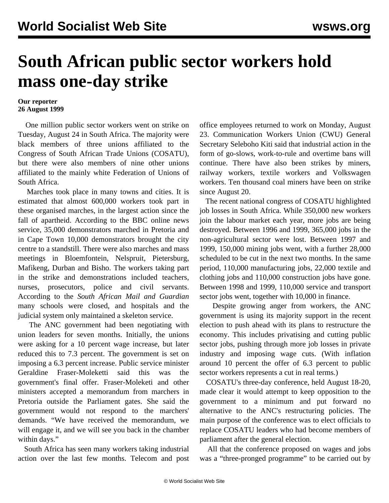## **South African public sector workers hold mass one-day strike**

## **Our reporter 26 August 1999**

 One million public sector workers went on strike on Tuesday, August 24 in South Africa. The majority were black members of three unions affiliated to the Congress of South African Trade Unions (COSATU), but there were also members of nine other unions affiliated to the mainly white Federation of Unions of South Africa.

 Marches took place in many towns and cities. It is estimated that almost 600,000 workers took part in these organised marches, in the largest action since the fall of apartheid. According to the BBC online news service, 35,000 demonstrators marched in Pretoria and in Cape Town 10,000 demonstrators brought the city centre to a standstill. There were also marches and mass meetings in Bloemfontein, Nelspruit, Pietersburg, Mafikeng, Durban and Bisho. The workers taking part in the strike and demonstrations included teachers, nurses, prosecutors, police and civil servants. According to the *South African Mail and Guardian* many schools were closed, and hospitals and the judicial system only maintained a skeleton service.

 The ANC government had been negotiating with union leaders for seven months. Initially, the unions were asking for a 10 percent wage increase, but later reduced this to 7.3 percent. The government is set on imposing a 6.3 percent increase. Public service minister Geraldine Fraser-Moleketti said this was the government's final offer. Fraser-Moleketi and other ministers accepted a memorandum from marchers in Pretoria outside the Parliament gates. She said the government would not respond to the marchers' demands. "We have received the memorandum, we will engage it, and we will see you back in the chamber within days."

 South Africa has seen many workers taking industrial action over the last few months. Telecom and post office employees returned to work on Monday, August 23. Communication Workers Union (CWU) General Secretary Seleboho Kiti said that industrial action in the form of go-slows, work-to-rule and overtime bans will continue. There have also been strikes by miners, railway workers, textile workers and Volkswagen workers. Ten thousand coal miners have been on strike since August 20.

 The recent national congress of COSATU highlighted job losses in South Africa. While 350,000 new workers join the labour market each year, more jobs are being destroyed. Between 1996 and 1999, 365,000 jobs in the non-agricultural sector were lost. Between 1997 and 1999, 150,000 mining jobs went, with a further 28,000 scheduled to be cut in the next two months. In the same period, 110,000 manufacturing jobs, 22,000 textile and clothing jobs and 110,000 construction jobs have gone. Between 1998 and 1999, 110,000 service and transport sector jobs went, together with 10,000 in finance.

 Despite growing anger from workers, the ANC government is using its majority support in the recent election to push ahead with its plans to restructure the economy. This includes privatising and cutting public sector jobs, pushing through more job losses in private industry and imposing wage cuts. (With inflation around 10 percent the offer of 6.3 percent to public sector workers represents a cut in real terms.)

 COSATU's three-day conference, held August 18-20, made clear it would attempt to keep opposition to the government to a minimum and put forward no alternative to the ANC's restructuring policies. The main purpose of the conference was to elect officials to replace COSATU leaders who had become members of parliament after the general election.

 All that the conference proposed on wages and jobs was a "three-pronged programme" to be carried out by